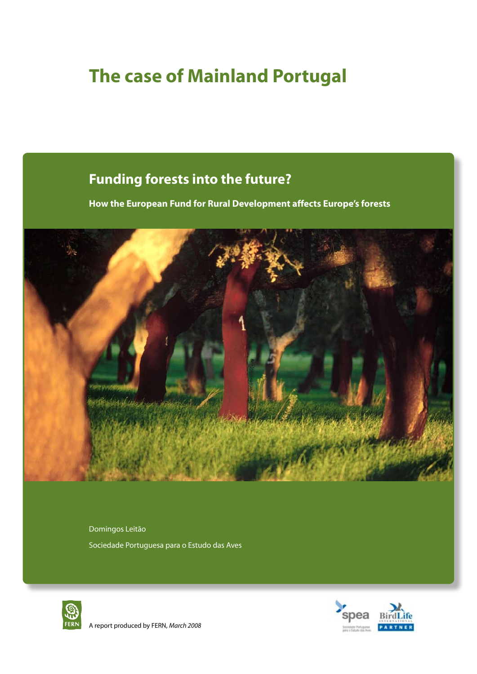# **The case of Mainland Portugal**

## **Funding forests into the future?**

**How the European Fund for Rural Development affects Europe's forests**



Domingos Leitão Sociedade Portuguesa para o Estudo das Aves





A report produced by FERN, *March 2008*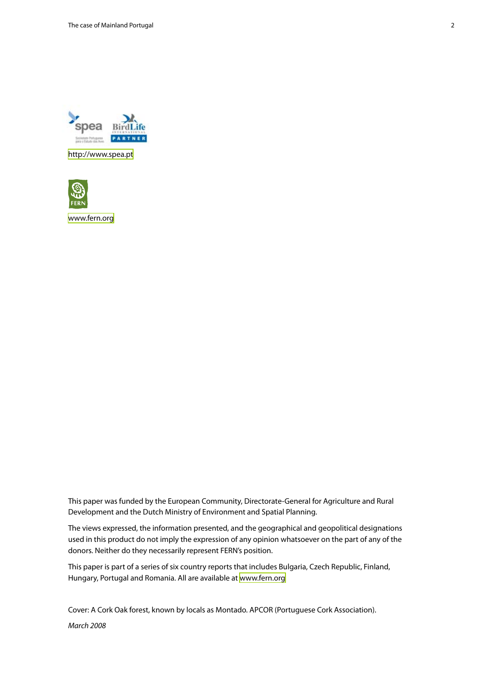

<http://www.spea.pt>



<www.fern.org>

This paper was funded by the European Community, Directorate-General for Agriculture and Rural Development and the Dutch Ministry of Environment and Spatial Planning.

The views expressed, the information presented, and the geographical and geopolitical designations used in this product do not imply the expression of any opinion whatsoever on the part of any of the donors. Neither do they necessarily represent FERN's position.

This paper is part of a series of six country reports that includes Bulgaria, Czech Republic, Finland, Hungary, Portugal and Romania. All are available at<www.fern.org>

Cover: A Cork Oak forest, known by locals as Montado. APCOR (Portuguese Cork Association).

*March 2008*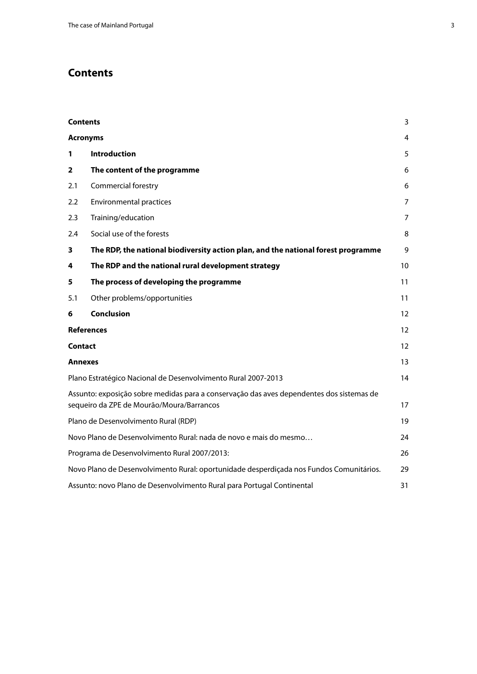### **Contents**

| <b>Contents</b>                                                              |                                                                                                                                       | 3  |  |  |  |
|------------------------------------------------------------------------------|---------------------------------------------------------------------------------------------------------------------------------------|----|--|--|--|
|                                                                              | <b>Acronyms</b>                                                                                                                       | 4  |  |  |  |
| 1                                                                            | <b>Introduction</b>                                                                                                                   | 5  |  |  |  |
| $\overline{\mathbf{2}}$                                                      | The content of the programme                                                                                                          | 6  |  |  |  |
| 2.1                                                                          | Commercial forestry                                                                                                                   | 6  |  |  |  |
| 2.2                                                                          | <b>Environmental practices</b>                                                                                                        | 7  |  |  |  |
| 2.3                                                                          | Training/education                                                                                                                    | 7  |  |  |  |
| 2.4                                                                          | Social use of the forests                                                                                                             | 8  |  |  |  |
| 3                                                                            | The RDP, the national biodiversity action plan, and the national forest programme                                                     | 9  |  |  |  |
| 4                                                                            | The RDP and the national rural development strategy                                                                                   | 10 |  |  |  |
| 5                                                                            | The process of developing the programme                                                                                               | 11 |  |  |  |
| 5.1                                                                          | Other problems/opportunities                                                                                                          | 11 |  |  |  |
| 6                                                                            | <b>Conclusion</b>                                                                                                                     | 12 |  |  |  |
|                                                                              | <b>References</b>                                                                                                                     | 12 |  |  |  |
| <b>Contact</b>                                                               |                                                                                                                                       | 12 |  |  |  |
| Annexes                                                                      |                                                                                                                                       | 13 |  |  |  |
|                                                                              | Plano Estratégico Nacional de Desenvolvimento Rural 2007-2013                                                                         | 14 |  |  |  |
|                                                                              | Assunto: exposição sobre medidas para a conservação das aves dependentes dos sistemas de<br>sequeiro da ZPE de Mourão/Moura/Barrancos | 17 |  |  |  |
|                                                                              | Plano de Desenvolvimento Rural (RDP)                                                                                                  | 19 |  |  |  |
|                                                                              | Novo Plano de Desenvolvimento Rural: nada de novo e mais do mesmo                                                                     | 24 |  |  |  |
|                                                                              | Programa de Desenvolvimento Rural 2007/2013:                                                                                          | 26 |  |  |  |
|                                                                              | Novo Plano de Desenvolvimento Rural: oportunidade desperdiçada nos Fundos Comunitários.                                               | 29 |  |  |  |
| Assunto: novo Plano de Desenvolvimento Rural para Portugal Continental<br>31 |                                                                                                                                       |    |  |  |  |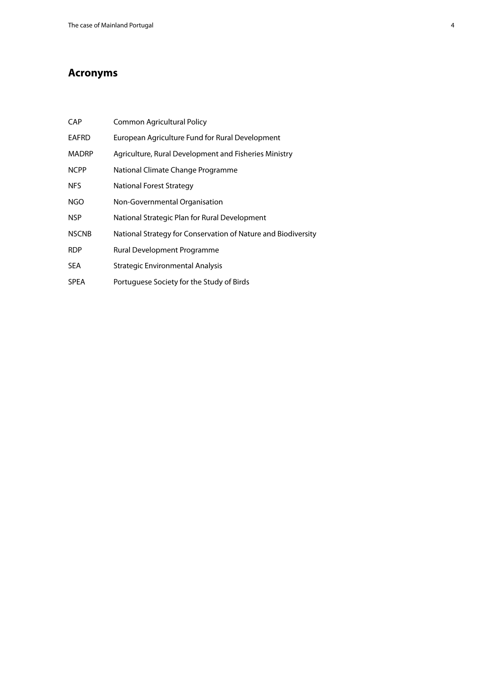### <span id="page-3-0"></span>**Acronyms**

| <b>CAP</b>   | <b>Common Agricultural Policy</b>                             |
|--------------|---------------------------------------------------------------|
| EAFRD        | European Agriculture Fund for Rural Development               |
| <b>MADRP</b> | Agriculture, Rural Development and Fisheries Ministry         |
| <b>NCPP</b>  | National Climate Change Programme                             |
| NFS.         | <b>National Forest Strategy</b>                               |
| <b>NGO</b>   | Non-Governmental Organisation                                 |
| NSP          | National Strategic Plan for Rural Development                 |
| <b>NSCNB</b> | National Strategy for Conservation of Nature and Biodiversity |
| <b>RDP</b>   | Rural Development Programme                                   |
| <b>SEA</b>   | <b>Strategic Environmental Analysis</b>                       |
| <b>SPEA</b>  | Portuguese Society for the Study of Birds                     |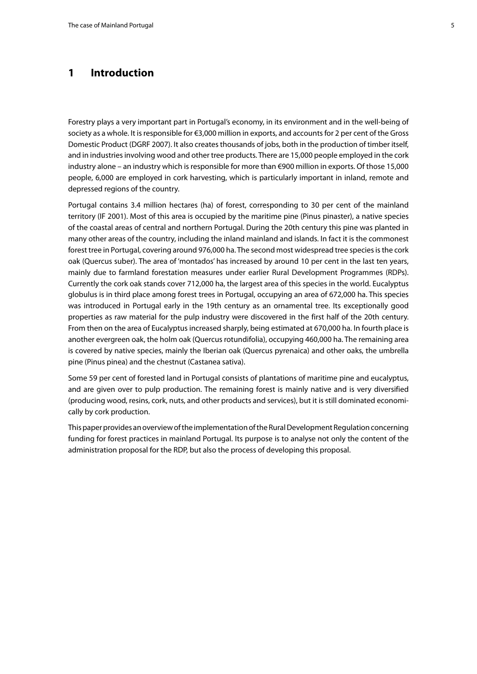### <span id="page-4-0"></span>**1 Introduction**

Forestry plays a very important part in Portugal's economy, in its environment and in the well-being of society as a whole. It is responsible for €3,000 million in exports, and accounts for 2 per cent of the Gross Domestic Product (DGRF 2007). It also creates thousands of jobs, both in the production of timber itself, and in industries involving wood and other tree products. There are 15,000 people employed in the cork industry alone – an industry which is responsible for more than €900 million in exports. Of those 15,000 people, 6,000 are employed in cork harvesting, which is particularly important in inland, remote and depressed regions of the country.

Portugal contains 3.4 million hectares (ha) of forest, corresponding to 30 per cent of the mainland territory (IF 2001). Most of this area is occupied by the maritime pine (Pinus pinaster), a native species of the coastal areas of central and northern Portugal. During the 20th century this pine was planted in many other areas of the country, including the inland mainland and islands. In fact it is the commonest forest tree in Portugal, covering around 976,000 ha. The second most widespread tree species is the cork oak (Quercus suber). The area of 'montados' has increased by around 10 per cent in the last ten years, mainly due to farmland forestation measures under earlier Rural Development Programmes (RDPs). Currently the cork oak stands cover 712,000 ha, the largest area of this species in the world. Eucalyptus globulus is in third place among forest trees in Portugal, occupying an area of 672,000 ha. This species was introduced in Portugal early in the 19th century as an ornamental tree. Its exceptionally good properties as raw material for the pulp industry were discovered in the first half of the 20th century. From then on the area of Eucalyptus increased sharply, being estimated at 670,000 ha. In fourth place is another evergreen oak, the holm oak (Quercus rotundifolia), occupying 460,000 ha. The remaining area is covered by native species, mainly the Iberian oak (Quercus pyrenaica) and other oaks, the umbrella pine (Pinus pinea) and the chestnut (Castanea sativa).

Some 59 per cent of forested land in Portugal consists of plantations of maritime pine and eucalyptus, and are given over to pulp production. The remaining forest is mainly native and is very diversified (producing wood, resins, cork, nuts, and other products and services), but it is still dominated economically by cork production.

This paper provides an overview of the implementation of the Rural Development Regulation concerning funding for forest practices in mainland Portugal. Its purpose is to analyse not only the content of the administration proposal for the RDP, but also the process of developing this proposal.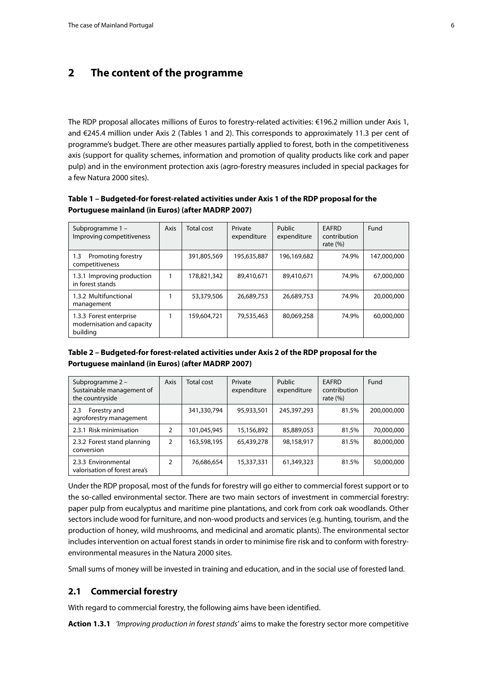### <span id="page-5-0"></span>**2 The content of the programme**

The RDP proposal allocates millions of Euros to forestry-related activities: €196.2 million under Axis 1, and €245.4 million under Axis 2 (Tables 1 and 2). This corresponds to approximately 11.3 per cent of programme's budget. There are other measures partially applied to forest, both in the competitiveness axis (support for quality schemes, information and promotion of quality products like cork and paper pulp) and in the environment protection axis (agro-forestry measures included in special packages for a few Natura 2000 sites).

**Table 1 – Budgeted-for forest-related activities under Axis 1 of the RDP proposal for the Portuguese mainland (in Euros) (after MADRP 2007)**

| Subprogramme 1-<br>Improving competitiveness                      | Axis | Total cost  | Private<br>expenditure | Public<br>expenditure | <b>EAFRD</b><br>contribution<br>rate $(\%)$ | Fund        |
|-------------------------------------------------------------------|------|-------------|------------------------|-----------------------|---------------------------------------------|-------------|
| Promoting forestry<br>$1.3\,$<br>competitiveness                  |      | 391,805,569 | 195,635,887            | 196,169,682           | 74.9%                                       | 147,000,000 |
| 1.3.1 Improving production<br>in forest stands                    |      | 178,821,342 | 89,410,671             | 89,410,671            | 74.9%                                       | 67,000,000  |
| 1.3.2 Multifunctional<br>management                               |      | 53,379,506  | 26,689,753             | 26,689,753            | 74.9%                                       | 20,000,000  |
| 1.3.3 Forest enterprise<br>modernisation and capacity<br>building |      | 159,604,721 | 79,535,463             | 80,069,258            | 74.9%                                       | 60,000,000  |

#### **Table 2 – Budgeted-for forest-related activities under Axis 2 of the RDP proposal for the Portuguese mainland (in Euros) (after MADRP 2007)**

| Subprogramme 2 -<br>Sustainable management of<br>the countryside | Axis           | Total cost  | Private<br>expenditure | Public<br>expenditure | <b>EAFRD</b><br>contribution<br>rate $(\%)$ | Fund        |
|------------------------------------------------------------------|----------------|-------------|------------------------|-----------------------|---------------------------------------------|-------------|
| Forestry and<br>2.3<br>agroforestry management                   |                | 341,330,794 | 95,933,501             | 245,397,293           | 81.5%                                       | 200,000,000 |
| 2.3.1 Risk minimisation                                          | $\overline{2}$ | 101,045,945 | 15,156,892             | 85,889,053            | 81.5%                                       | 70,000,000  |
| 2.3.2 Forest stand planning<br>conversion                        | $\overline{2}$ | 163,598,195 | 65,439,278             | 98,158,917            | 81.5%                                       | 80,000,000  |
| 2.3.3 Environmental<br>valorisation of forest area's             | 2              | 76,686,654  | 15,337,331             | 61,349,323            | 81.5%                                       | 50,000,000  |

Under the RDP proposal, most of the funds for forestry will go either to commercial forest support or to the so-called environmental sector. There are two main sectors of investment in commercial forestry: paper pulp from eucalyptus and maritime pine plantations, and cork from cork oak woodlands. Other sectors include wood for furniture, and non-wood products and services (e.g. hunting, tourism, and the production of honey, wild mushrooms, and medicinal and aromatic plants). The environmental sector includes intervention on actual forest stands in order to minimise fire risk and to conform with forestryenvironmental measures in the Natura 2000 sites.

Small sums of money will be invested in training and education, and in the social use of forested land.

#### **2.1 Commercial forestry**

With regard to commercial forestry, the following aims have been identified.

**Action 1.3.1** *'Improving production in forest stands'* aims to make the forestry sector more competitive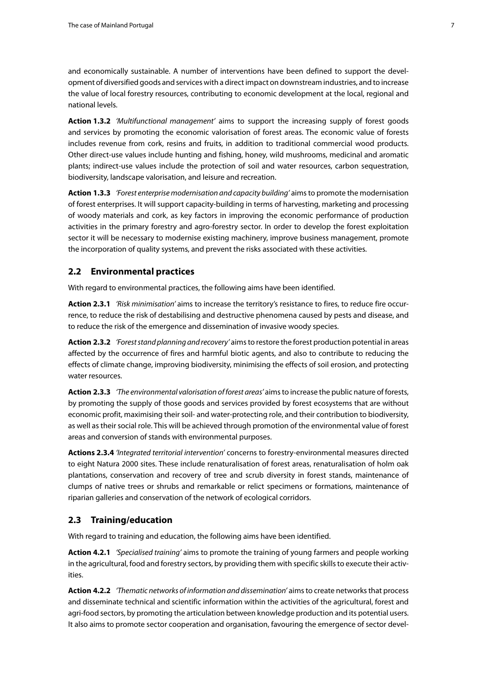<span id="page-6-0"></span>and economically sustainable. A number of interventions have been defined to support the development of diversified goods and services with a direct impact on downstream industries, and to increase the value of local forestry resources, contributing to economic development at the local, regional and national levels.

**Action 1.3.2** *'Multifunctional management'* aims to support the increasing supply of forest goods and services by promoting the economic valorisation of forest areas. The economic value of forests includes revenue from cork, resins and fruits, in addition to traditional commercial wood products. Other direct-use values include hunting and fishing, honey, wild mushrooms, medicinal and aromatic plants; indirect-use values include the protection of soil and water resources, carbon sequestration, biodiversity, landscape valorisation, and leisure and recreation.

**Action 1.3.3** *'Forest enterprise modernisation and capacity building'* aims to promote the modernisation of forest enterprises. It will support capacity-building in terms of harvesting, marketing and processing of woody materials and cork, as key factors in improving the economic performance of production activities in the primary forestry and agro-forestry sector. In order to develop the forest exploitation sector it will be necessary to modernise existing machinery, improve business management, promote the incorporation of quality systems, and prevent the risks associated with these activities.

### **2.2 Environmental practices**

With regard to environmental practices, the following aims have been identified.

**Action 2.3.1** *'Risk minimisation'* aims to increase the territory's resistance to fires, to reduce fire occurrence, to reduce the risk of destabilising and destructive phenomena caused by pests and disease, and to reduce the risk of the emergence and dissemination of invasive woody species.

**Action 2.3.2** *'Forest stand planning and recovery'* aims to restore the forest production potential in areas affected by the occurrence of fires and harmful biotic agents, and also to contribute to reducing the effects of climate change, improving biodiversity, minimising the effects of soil erosion, and protecting water resources.

**Action 2.3.3** *'The environmental valorisation of forest areas'* aims to increase the public nature of forests, by promoting the supply of those goods and services provided by forest ecosystems that are without economic profit, maximising their soil- and water-protecting role, and their contribution to biodiversity, as well as their social role. This will be achieved through promotion of the environmental value of forest areas and conversion of stands with environmental purposes.

**Actions 2.3.4** *'Integrated territorial intervention'* concerns to forestry-environmental measures directed to eight Natura 2000 sites. These include renaturalisation of forest areas, renaturalisation of holm oak plantations, conservation and recovery of tree and scrub diversity in forest stands, maintenance of clumps of native trees or shrubs and remarkable or relict specimens or formations, maintenance of riparian galleries and conservation of the network of ecological corridors.

#### **2.3 Training/education**

With regard to training and education, the following aims have been identified.

**Action 4.2.1** *'Specialised training'* aims to promote the training of young farmers and people working in the agricultural, food and forestry sectors, by providing them with specific skills to execute their activities.

**Action 4.2.2** *'Thematic networks of information and dissemination'* aims to create networks that process and disseminate technical and scientific information within the activities of the agricultural, forest and agri-food sectors, by promoting the articulation between knowledge production and its potential users. It also aims to promote sector cooperation and organisation, favouring the emergence of sector devel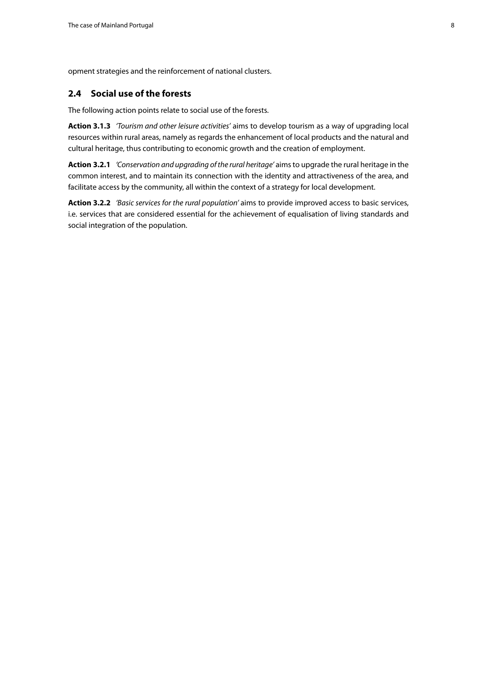<span id="page-7-0"></span>opment strategies and the reinforcement of national clusters.

### **2.4 Social use of the forests**

The following action points relate to social use of the forests.

**Action 3.1.3** *'Tourism and other leisure activities'* aims to develop tourism as a way of upgrading local resources within rural areas, namely as regards the enhancement of local products and the natural and cultural heritage, thus contributing to economic growth and the creation of employment.

**Action 3.2.1** *'Conservation and upgrading of the rural heritage'* aims to upgrade the rural heritage in the common interest, and to maintain its connection with the identity and attractiveness of the area, and facilitate access by the community, all within the context of a strategy for local development.

**Action 3.2.2** *'Basic services for the rural population'* aims to provide improved access to basic services, i.e. services that are considered essential for the achievement of equalisation of living standards and social integration of the population.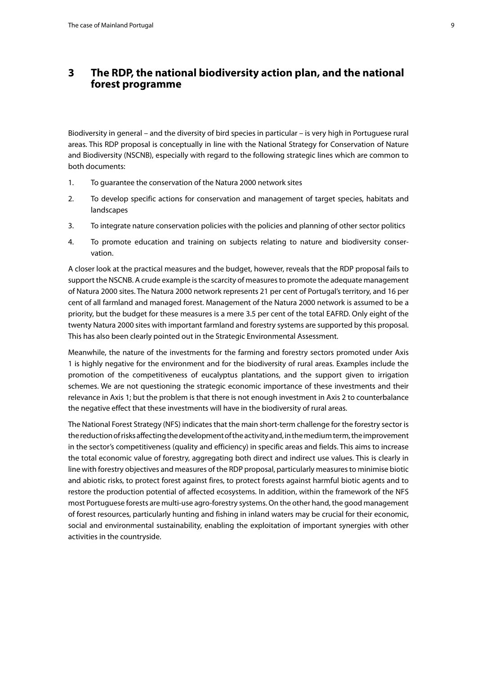### <span id="page-8-0"></span>**3 The RDP, the national biodiversity action plan, and the national forest programme**

Biodiversity in general – and the diversity of bird species in particular – is very high in Portuguese rural areas. This RDP proposal is conceptually in line with the National Strategy for Conservation of Nature and Biodiversity (NSCNB), especially with regard to the following strategic lines which are common to both documents:

- 1. To guarantee the conservation of the Natura 2000 network sites
- 2. To develop specific actions for conservation and management of target species, habitats and landscapes
- 3. To integrate nature conservation policies with the policies and planning of other sector politics
- 4. To promote education and training on subjects relating to nature and biodiversity conservation.

A closer look at the practical measures and the budget, however, reveals that the RDP proposal fails to support the NSCNB. A crude example is the scarcity of measures to promote the adequate management of Natura 2000 sites. The Natura 2000 network represents 21 per cent of Portugal's territory, and 16 per cent of all farmland and managed forest. Management of the Natura 2000 network is assumed to be a priority, but the budget for these measures is a mere 3.5 per cent of the total EAFRD. Only eight of the twenty Natura 2000 sites with important farmland and forestry systems are supported by this proposal. This has also been clearly pointed out in the Strategic Environmental Assessment.

Meanwhile, the nature of the investments for the farming and forestry sectors promoted under Axis 1 is highly negative for the environment and for the biodiversity of rural areas. Examples include the promotion of the competitiveness of eucalyptus plantations, and the support given to irrigation schemes. We are not questioning the strategic economic importance of these investments and their relevance in Axis 1; but the problem is that there is not enough investment in Axis 2 to counterbalance the negative effect that these investments will have in the biodiversity of rural areas.

The National Forest Strategy (NFS) indicates that the main short-term challenge for the forestry sector is the reduction of risks affecting the development of the activity and, in the medium term, the improvement in the sector's competitiveness (quality and efficiency) in specific areas and fields. This aims to increase the total economic value of forestry, aggregating both direct and indirect use values. This is clearly in line with forestry objectives and measures of the RDP proposal, particularly measures to minimise biotic and abiotic risks, to protect forest against fires, to protect forests against harmful biotic agents and to restore the production potential of affected ecosystems. In addition, within the framework of the NFS most Portuguese forests are multi-use agro-forestry systems. On the other hand, the good management of forest resources, particularly hunting and fishing in inland waters may be crucial for their economic, social and environmental sustainability, enabling the exploitation of important synergies with other activities in the countryside.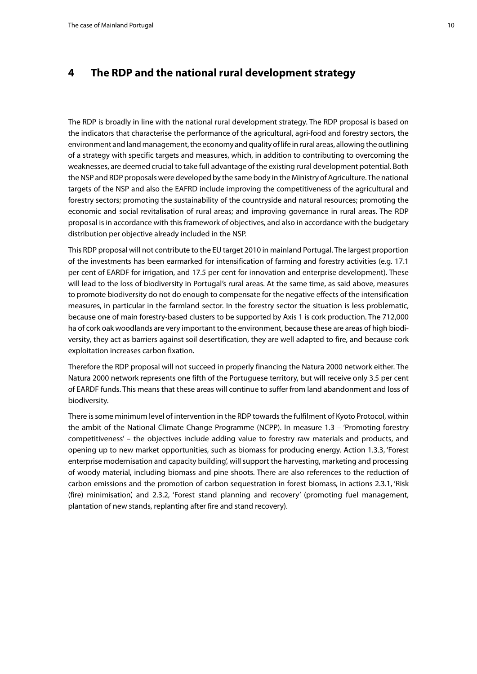### <span id="page-9-0"></span>**4 The RDP and the national rural development strategy**

The RDP is broadly in line with the national rural development strategy. The RDP proposal is based on the indicators that characterise the performance of the agricultural, agri-food and forestry sectors, the environment and land management, the economy and quality of life in rural areas, allowing the outlining of a strategy with specific targets and measures, which, in addition to contributing to overcoming the weaknesses, are deemed crucial to take full advantage of the existing rural development potential. Both the NSP and RDP proposals were developed by the same body in the Ministry of Agriculture. The national targets of the NSP and also the EAFRD include improving the competitiveness of the agricultural and forestry sectors; promoting the sustainability of the countryside and natural resources; promoting the economic and social revitalisation of rural areas; and improving governance in rural areas. The RDP proposal is in accordance with this framework of objectives, and also in accordance with the budgetary distribution per objective already included in the NSP.

This RDP proposal will not contribute to the EU target 2010 in mainland Portugal. The largest proportion of the investments has been earmarked for intensification of farming and forestry activities (e.g. 17.1 per cent of EARDF for irrigation, and 17.5 per cent for innovation and enterprise development). These will lead to the loss of biodiversity in Portugal's rural areas. At the same time, as said above, measures to promote biodiversity do not do enough to compensate for the negative effects of the intensification measures, in particular in the farmland sector. In the forestry sector the situation is less problematic, because one of main forestry-based clusters to be supported by Axis 1 is cork production. The 712,000 ha of cork oak woodlands are very important to the environment, because these are areas of high biodiversity, they act as barriers against soil desertification, they are well adapted to fire, and because cork exploitation increases carbon fixation.

Therefore the RDP proposal will not succeed in properly financing the Natura 2000 network either. The Natura 2000 network represents one fifth of the Portuguese territory, but will receive only 3.5 per cent of EARDF funds. This means that these areas will continue to suffer from land abandonment and loss of biodiversity.

There is some minimum level of intervention in the RDP towards the fulfilment of Kyoto Protocol, within the ambit of the National Climate Change Programme (NCPP). In measure 1.3 – 'Promoting forestry competitiveness' – the objectives include adding value to forestry raw materials and products, and opening up to new market opportunities, such as biomass for producing energy. Action 1.3.3, 'Forest enterprise modernisation and capacity building', will support the harvesting, marketing and processing of woody material, including biomass and pine shoots. There are also references to the reduction of carbon emissions and the promotion of carbon sequestration in forest biomass, in actions 2.3.1, 'Risk (fire) minimisation', and 2.3.2, 'Forest stand planning and recovery' (promoting fuel management, plantation of new stands, replanting after fire and stand recovery).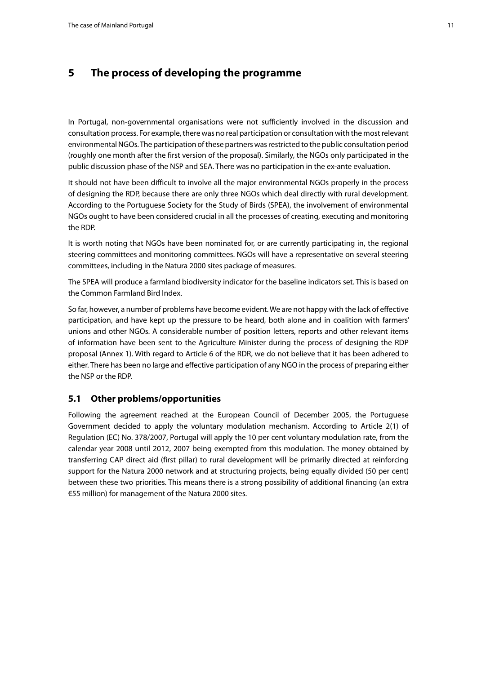### <span id="page-10-0"></span>**5 The process of developing the programme**

In Portugal, non-governmental organisations were not sufficiently involved in the discussion and consultation process. For example, there was no real participation or consultation with the most relevant environmental NGOs. The participation of these partners was restricted to the public consultation period (roughly one month after the first version of the proposal). Similarly, the NGOs only participated in the public discussion phase of the NSP and SEA. There was no participation in the ex-ante evaluation.

It should not have been difficult to involve all the major environmental NGOs properly in the process of designing the RDP, because there are only three NGOs which deal directly with rural development. According to the Portuguese Society for the Study of Birds (SPEA), the involvement of environmental NGOs ought to have been considered crucial in all the processes of creating, executing and monitoring the RDP.

It is worth noting that NGOs have been nominated for, or are currently participating in, the regional steering committees and monitoring committees. NGOs will have a representative on several steering committees, including in the Natura 2000 sites package of measures.

The SPEA will produce a farmland biodiversity indicator for the baseline indicators set. This is based on the Common Farmland Bird Index.

So far, however, a number of problems have become evident. We are not happy with the lack of effective participation, and have kept up the pressure to be heard, both alone and in coalition with farmers' unions and other NGOs. A considerable number of position letters, reports and other relevant items of information have been sent to the Agriculture Minister during the process of designing the RDP proposal (Annex 1). With regard to Article 6 of the RDR, we do not believe that it has been adhered to either. There has been no large and effective participation of any NGO in the process of preparing either the NSP or the RDP.

#### **5.1 Other problems/opportunities**

Following the agreement reached at the European Council of December 2005, the Portuguese Government decided to apply the voluntary modulation mechanism. According to Article 2(1) of Regulation (EC) No. 378/2007, Portugal will apply the 10 per cent voluntary modulation rate, from the calendar year 2008 until 2012, 2007 being exempted from this modulation. The money obtained by transferring CAP direct aid (first pillar) to rural development will be primarily directed at reinforcing support for the Natura 2000 network and at structuring projects, being equally divided (50 per cent) between these two priorities. This means there is a strong possibility of additional financing (an extra €55 million) for management of the Natura 2000 sites.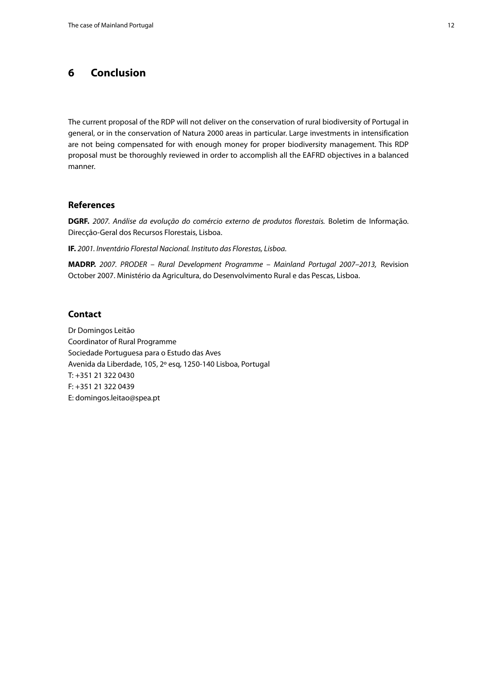### <span id="page-11-0"></span>**6 Conclusion**

The current proposal of the RDP will not deliver on the conservation of rural biodiversity of Portugal in general, or in the conservation of Natura 2000 areas in particular. Large investments in intensification are not being compensated for with enough money for proper biodiversity management. This RDP proposal must be thoroughly reviewed in order to accomplish all the EAFRD objectives in a balanced manner.

#### **References**

**DGRF.** *2007. Análise da evolução do comércio externo de produtos florestais.* Boletim de Informação. Direcção-Geral dos Recursos Florestais, Lisboa.

**IF.** *2001. Inventário Florestal Nacional. Instituto das Florestas, Lisboa.*

**MADRP.** *2007. PRODER – Rural Development Programme – Mainland Portugal 2007–2013,* Revision October 2007. Ministério da Agricultura, do Desenvolvimento Rural e das Pescas, Lisboa.

### **Contact**

Dr Domingos Leitão Coordinator of Rural Programme Sociedade Portuguesa para o Estudo das Aves Avenida da Liberdade, 105, 2º esq, 1250-140 Lisboa, Portugal T: +351 21 322 0430 F: +351 21 322 0439 E: domingos.leitao@spea.pt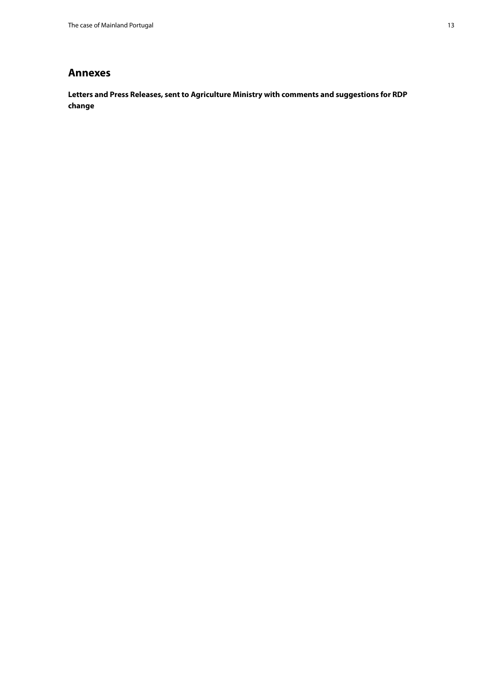### <span id="page-12-0"></span>**Annexes**

**Letters and Press Releases, sent to Agriculture Ministry with comments and suggestions for RDP change**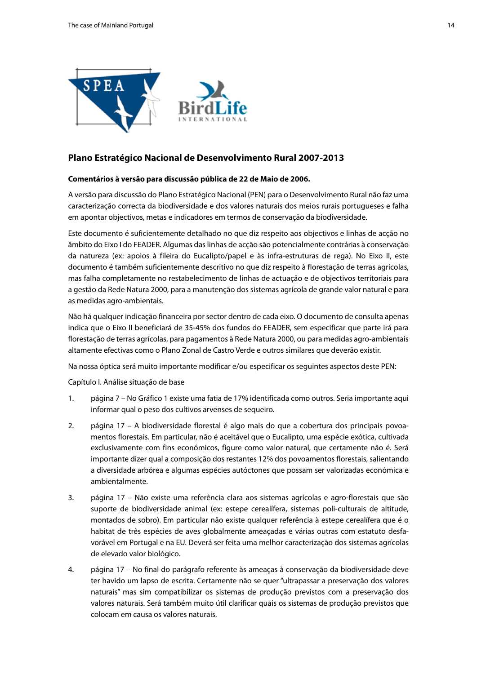<span id="page-13-0"></span>

#### **Plano Estratégico Nacional de Desenvolvimento Rural 2007-2013**

#### **Comentários à versão para discussão pública de 22 de Maio de 2006.**

A versão para discussão do Plano Estratégico Nacional (PEN) para o Desenvolvimento Rural não faz uma caracterização correcta da biodiversidade e dos valores naturais dos meios rurais portugueses e falha em apontar objectivos, metas e indicadores em termos de conservação da biodiversidade.

Este documento é suficientemente detalhado no que diz respeito aos objectivos e linhas de acção no âmbito do Eixo I do FEADER. Algumas das linhas de acção são potencialmente contrárias à conservação da natureza (ex: apoios à fileira do Eucalipto/papel e às infra-estruturas de rega). No Eixo II, este documento é também suficientemente descritivo no que diz respeito à florestação de terras agrícolas, mas falha completamente no restabelecimento de linhas de actuação e de objectivos territoriais para a gestão da Rede Natura 2000, para a manutenção dos sistemas agrícola de grande valor natural e para as medidas agro-ambientais.

Não há qualquer indicação financeira por sector dentro de cada eixo. O documento de consulta apenas indica que o Eixo II beneficiará de 35-45% dos fundos do FEADER, sem especificar que parte irá para florestação de terras agrícolas, para pagamentos à Rede Natura 2000, ou para medidas agro-ambientais altamente efectivas como o Plano Zonal de Castro Verde e outros similares que deverão existir.

Na nossa óptica será muito importante modificar e/ou especificar os seguintes aspectos deste PEN:

Capítulo I. Análise situação de base

- 1. página 7 No Gráfico 1 existe uma fatia de 17% identificada como outros. Seria importante aqui informar qual o peso dos cultivos arvenses de sequeiro.
- 2. página 17 A biodiversidade florestal é algo mais do que a cobertura dos principais povoamentos florestais. Em particular, não é aceitável que o Eucalipto, uma espécie exótica, cultivada exclusivamente com fins económicos, figure como valor natural, que certamente não é. Será importante dizer qual a composição dos restantes 12% dos povoamentos florestais, salientando a diversidade arbórea e algumas espécies autóctones que possam ser valorizadas económica e ambientalmente.
- 3. página 17 Não existe uma referência clara aos sistemas agrícolas e agro-florestais que são suporte de biodiversidade animal (ex: estepe cerealífera, sistemas poli-culturais de altitude, montados de sobro). Em particular não existe qualquer referência à estepe cerealífera que é o habitat de três espécies de aves globalmente ameaçadas e várias outras com estatuto desfavorável em Portugal e na EU. Deverá ser feita uma melhor caracterização dos sistemas agrícolas de elevado valor biológico.
- 4. página 17 No final do parágrafo referente às ameaças à conservação da biodiversidade deve ter havido um lapso de escrita. Certamente não se quer "ultrapassar a preservação dos valores naturais" mas sim compatibilizar os sistemas de produção previstos com a preservação dos valores naturais. Será também muito útil clarificar quais os sistemas de produção previstos que colocam em causa os valores naturais.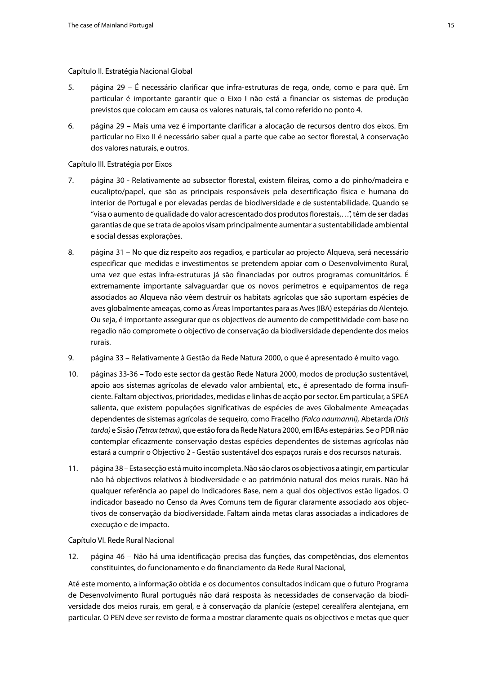#### Capítulo II. Estratégia Nacional Global

- 5. página 29 É necessário clarificar que infra-estruturas de rega, onde, como e para quê. Em particular é importante garantir que o Eixo I não está a financiar os sistemas de produção previstos que colocam em causa os valores naturais, tal como referido no ponto 4.
- 6. página 29 Mais uma vez é importante clarificar a alocação de recursos dentro dos eixos. Em particular no Eixo II é necessário saber qual a parte que cabe ao sector florestal, à conservação dos valores naturais, e outros.

Capítulo III. Estratégia por Eixos

- 7. página 30 Relativamente ao subsector florestal, existem fileiras, como a do pinho/madeira e eucalipto/papel, que são as principais responsáveis pela desertificação física e humana do interior de Portugal e por elevadas perdas de biodiversidade e de sustentabilidade. Quando se "visa o aumento de qualidade do valor acrescentado dos produtos florestais,…", têm de ser dadas garantias de que se trata de apoios visam principalmente aumentar a sustentabilidade ambiental e social dessas explorações.
- 8. página 31 No que diz respeito aos regadios, e particular ao projecto Alqueva, será necessário especificar que medidas e investimentos se pretendem apoiar com o Desenvolvimento Rural, uma vez que estas infra-estruturas já são financiadas por outros programas comunitários. É extremamente importante salvaguardar que os novos perímetros e equipamentos de rega associados ao Alqueva não vêem destruir os habitats agrícolas que são suportam espécies de aves globalmente ameaças, como as Áreas Importantes para as Aves (IBA) estepárias do Alentejo. Ou seja, é importante assegurar que os objectivos de aumento de competitividade com base no regadio não compromete o objectivo de conservação da biodiversidade dependente dos meios rurais.
- 9. página 33 Relativamente à Gestão da Rede Natura 2000, o que é apresentado é muito vago.
- 10. páginas 33-36 Todo este sector da gestão Rede Natura 2000, modos de produção sustentável, apoio aos sistemas agrícolas de elevado valor ambiental, etc., é apresentado de forma insuficiente. Faltam objectivos, prioridades, medidas e linhas de acção por sector. Em particular, a SPEA salienta, que existem populações significativas de espécies de aves Globalmente Ameaçadas dependentes de sistemas agrícolas de sequeiro, como Fracelho *(Falco naumanni),* Abetarda *(Otis tarda)* e Sisão *(Tetrax tetrax)*, que estão fora da Rede Natura 2000, em IBAs estepárias. Se o PDR não contemplar eficazmente conservação destas espécies dependentes de sistemas agrícolas não estará a cumprir o Objectivo 2 - Gestão sustentável dos espaços rurais e dos recursos naturais.
- 11. página 38 Esta secção está muito incompleta. Não são claros os objectivos a atingir, em particular não há objectivos relativos à biodiversidade e ao património natural dos meios rurais. Não há qualquer referência ao papel do Indicadores Base, nem a qual dos objectivos estão ligados. O indicador baseado no Censo da Aves Comuns tem de figurar claramente associado aos objectivos de conservação da biodiversidade. Faltam ainda metas claras associadas a indicadores de execução e de impacto.

Capítulo VI. Rede Rural Nacional

12. página 46 – Não há uma identificação precisa das funções, das competências, dos elementos constituintes, do funcionamento e do financiamento da Rede Rural Nacional,

Até este momento, a informação obtida e os documentos consultados indicam que o futuro Programa de Desenvolvimento Rural português não dará resposta às necessidades de conservação da biodiversidade dos meios rurais, em geral, e à conservação da planície (estepe) cerealífera alentejana, em particular. O PEN deve ser revisto de forma a mostrar claramente quais os objectivos e metas que quer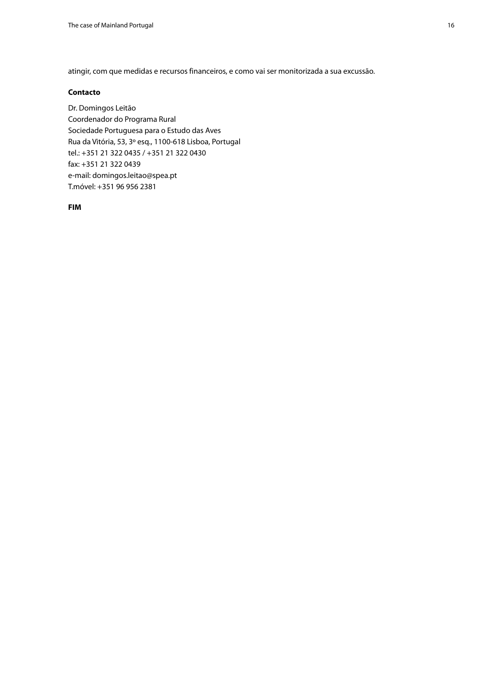atingir, com que medidas e recursos financeiros, e como vai ser monitorizada a sua excussão.

#### **Contacto**

Dr. Domingos Leitão Coordenador do Programa Rural Sociedade Portuguesa para o Estudo das Aves Rua da Vitória, 53, 3º esq., 1100-618 Lisboa, Portugal tel.: +351 21 322 0435 / +351 21 322 0430 fax: +351 21 322 0439 e-mail: domingos.leitao@spea.pt T.móvel: +351 96 956 2381

**FIM**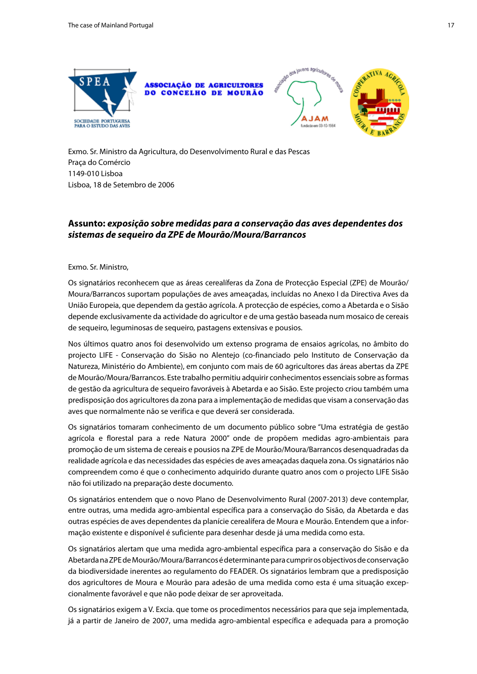<span id="page-16-0"></span>

Exmo. Sr. Ministro da Agricultura, do Desenvolvimento Rural e das Pescas Praça do Comércio 1149-010 Lisboa Lisboa, 18 de Setembro de 2006

### **Assunto:** *exposição sobre medidas para a conservação das aves dependentes dos sistemas de sequeiro da ZPE de Mourão/Moura/Barrancos*

Exmo. Sr. Ministro,

Os signatários reconhecem que as áreas cerealíferas da Zona de Protecção Especial (ZPE) de Mourão/ Moura/Barrancos suportam populações de aves ameaçadas, incluídas no Anexo I da Directiva Aves da União Europeia, que dependem da gestão agrícola. A protecção de espécies, como a Abetarda e o Sisão depende exclusivamente da actividade do agricultor e de uma gestão baseada num mosaico de cereais de sequeiro, leguminosas de sequeiro, pastagens extensivas e pousios.

Nos últimos quatro anos foi desenvolvido um extenso programa de ensaios agrícolas, no âmbito do projecto LIFE - Conservação do Sisão no Alentejo (co-financiado pelo Instituto de Conservação da Natureza, Ministério do Ambiente), em conjunto com mais de 60 agricultores das áreas abertas da ZPE de Mourão/Moura/Barrancos. Este trabalho permitiu adquirir conhecimentos essenciais sobre as formas de gestão da agricultura de sequeiro favoráveis à Abetarda e ao Sisão. Este projecto criou também uma predisposição dos agricultores da zona para a implementação de medidas que visam a conservação das aves que normalmente não se verifica e que deverá ser considerada.

Os signatários tomaram conhecimento de um documento público sobre "Uma estratégia de gestão agrícola e florestal para a rede Natura 2000" onde de propõem medidas agro-ambientais para promoção de um sistema de cereais e pousios na ZPE de Mourão/Moura/Barrancos desenquadradas da realidade agrícola e das necessidades das espécies de aves ameaçadas daquela zona. Os signatários não compreendem como é que o conhecimento adquirido durante quatro anos com o projecto LIFE Sisão não foi utilizado na preparação deste documento.

Os signatários entendem que o novo Plano de Desenvolvimento Rural (2007-2013) deve contemplar, entre outras, uma medida agro-ambiental específica para a conservação do Sisão, da Abetarda e das outras espécies de aves dependentes da planície cerealífera de Moura e Mourão. Entendem que a informação existente e disponível é suficiente para desenhar desde já uma medida como esta.

Os signatários alertam que uma medida agro-ambiental específica para a conservação do Sisão e da Abetarda na ZPE de Mourão/Moura/Barrancos é determinante para cumprir os objectivos de conservação da biodiversidade inerentes ao regulamento do FEADER. Os signatários lembram que a predisposição dos agricultores de Moura e Mourão para adesão de uma medida como esta é uma situação excepcionalmente favorável e que não pode deixar de ser aproveitada.

Os signatários exigem a V. Excia. que tome os procedimentos necessários para que seja implementada, já a partir de Janeiro de 2007, uma medida agro-ambiental específica e adequada para a promoção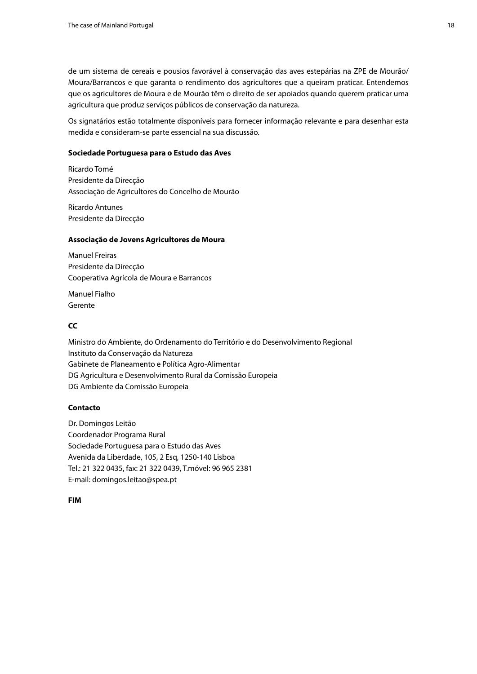de um sistema de cereais e pousios favorável à conservação das aves estepárias na ZPE de Mourão/ Moura/Barrancos e que garanta o rendimento dos agricultores que a queiram praticar. Entendemos que os agricultores de Moura e de Mourão têm o direito de ser apoiados quando querem praticar uma agricultura que produz serviços públicos de conservação da natureza.

Os signatários estão totalmente disponíveis para fornecer informação relevante e para desenhar esta medida e consideram-se parte essencial na sua discussão.

#### **Sociedade Portuguesa para o Estudo das Aves**

Ricardo Tomé Presidente da Direcção Associação de Agricultores do Concelho de Mourão

Ricardo Antunes Presidente da Direcção

#### **Associação de Jovens Agricultores de Moura**

Manuel Freiras Presidente da Direcção Cooperativa Agrícola de Moura e Barrancos

Manuel Fialho Gerente

#### **CC**

Ministro do Ambiente, do Ordenamento do Território e do Desenvolvimento Regional Instituto da Conservação da Natureza Gabinete de Planeamento e Política Agro-Alimentar DG Agricultura e Desenvolvimento Rural da Comissão Europeia DG Ambiente da Comissão Europeia

#### **Contacto**

Dr. Domingos Leitão Coordenador Programa Rural Sociedade Portuguesa para o Estudo das Aves Avenida da Liberdade, 105, 2 Esq, 1250-140 Lisboa Tel.: 21 322 0435, fax: 21 322 0439, T.móvel: 96 965 2381 E-mail: domingos.leitao@spea.pt

#### **FIM**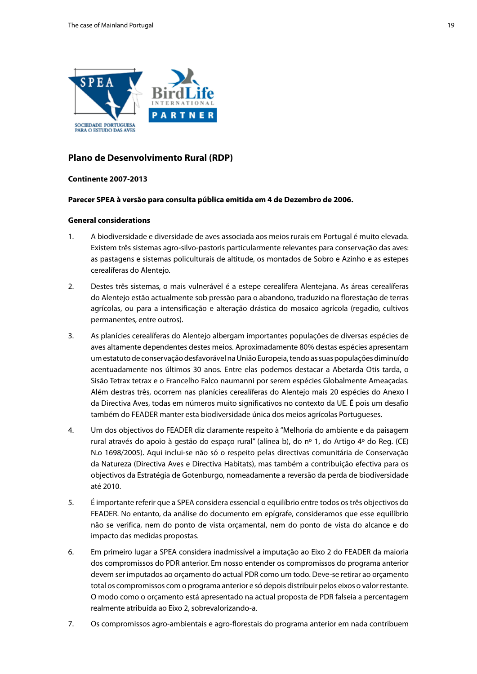<span id="page-18-0"></span>

#### **Plano de Desenvolvimento Rural (RDP)**

#### **Continente 2007-2013**

#### **Parecer SPEA à versão para consulta pública emitida em 4 de Dezembro de 2006.**

#### **General considerations**

- 1. A biodiversidade e diversidade de aves associada aos meios rurais em Portugal é muito elevada. Existem três sistemas agro-silvo-pastoris particularmente relevantes para conservação das aves: as pastagens e sistemas policulturais de altitude, os montados de Sobro e Azinho e as estepes cerealíferas do Alentejo.
- 2. Destes três sistemas, o mais vulnerável é a estepe cerealífera Alentejana. As áreas cerealíferas do Alentejo estão actualmente sob pressão para o abandono, traduzido na florestação de terras agrícolas, ou para a intensificação e alteração drástica do mosaico agrícola (regadio, cultivos permanentes, entre outros).
- 3. As planícies cerealíferas do Alentejo albergam importantes populações de diversas espécies de aves altamente dependentes destes meios. Aproximadamente 80% destas espécies apresentam um estatuto de conservação desfavorável na União Europeia, tendo as suas populações diminuído acentuadamente nos últimos 30 anos. Entre elas podemos destacar a Abetarda Otis tarda, o Sisão Tetrax tetrax e o Francelho Falco naumanni por serem espécies Globalmente Ameaçadas. Além destras três, ocorrem nas planícies cerealíferas do Alentejo mais 20 espécies do Anexo I da Directiva Aves, todas em números muito significativos no contexto da UE. É pois um desafio também do FEADER manter esta biodiversidade única dos meios agrícolas Portugueses.
- 4. Um dos objectivos do FEADER diz claramente respeito à "Melhoria do ambiente e da paisagem rural através do apoio à gestão do espaço rural" (alínea b), do nº 1, do Artigo 4º do Reg. (CE) N.o 1698/2005). Aqui inclui-se não só o respeito pelas directivas comunitária de Conservação da Natureza (Directiva Aves e Directiva Habitats), mas também a contribuição efectiva para os objectivos da Estratégia de Gotenburgo, nomeadamente a reversão da perda de biodiversidade até 2010.
- 5. É importante referir que a SPEA considera essencial o equilíbrio entre todos os três objectivos do FEADER. No entanto, da análise do documento em epígrafe, consideramos que esse equilíbrio não se verifica, nem do ponto de vista orçamental, nem do ponto de vista do alcance e do impacto das medidas propostas.
- 6. Em primeiro lugar a SPEA considera inadmissível a imputação ao Eixo 2 do FEADER da maioria dos compromissos do PDR anterior. Em nosso entender os compromissos do programa anterior devem ser imputados ao orçamento do actual PDR como um todo. Deve-se retirar ao orçamento total os compromissos com o programa anterior e só depois distribuir pelos eixos o valor restante. O modo como o orçamento está apresentado na actual proposta de PDR falseia a percentagem realmente atribuída ao Eixo 2, sobrevalorizando-a.
- 7. Os compromissos agro-ambientais e agro-florestais do programa anterior em nada contribuem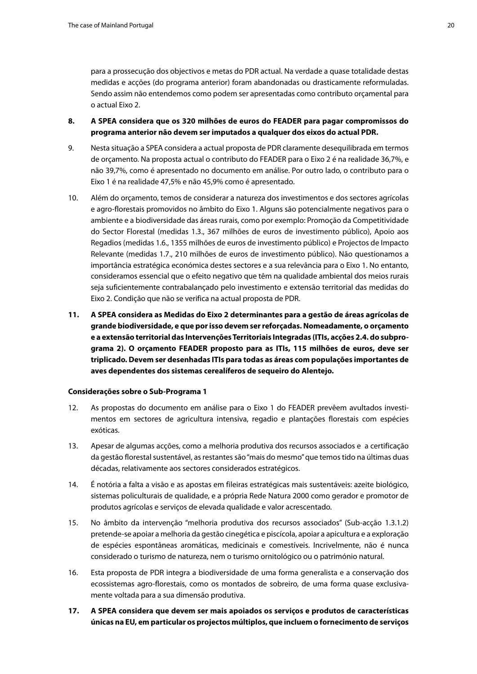para a prossecução dos objectivos e metas do PDR actual. Na verdade a quase totalidade destas medidas e acções (do programa anterior) foram abandonadas ou drasticamente reformuladas. Sendo assim não entendemos como podem ser apresentadas como contributo orçamental para o actual Eixo 2.

- **8. A SPEA considera que os 320 milhões de euros do FEADER para pagar compromissos do programa anterior não devem ser imputados a qualquer dos eixos do actual PDR.**
- 9. Nesta situação a SPEA considera a actual proposta de PDR claramente desequilibrada em termos de orçamento. Na proposta actual o contributo do FEADER para o Eixo 2 é na realidade 36,7%, e não 39,7%, como é apresentado no documento em análise. Por outro lado, o contributo para o Eixo 1 é na realidade 47,5% e não 45,9% como é apresentado.
- 10. Além do orçamento, temos de considerar a natureza dos investimentos e dos sectores agrícolas e agro-florestais promovidos no âmbito do Eixo 1. Alguns são potencialmente negativos para o ambiente e a biodiversidade das áreas rurais, como por exemplo: Promoção da Competitividade do Sector Florestal (medidas 1.3., 367 milhões de euros de investimento público), Apoio aos Regadios (medidas 1.6., 1355 milhões de euros de investimento público) e Projectos de Impacto Relevante (medidas 1.7., 210 milhões de euros de investimento público). Não questionamos a importância estratégica económica destes sectores e a sua relevância para o Eixo 1. No entanto, consideramos essencial que o efeito negativo que têm na qualidade ambiental dos meios rurais seja suficientemente contrabalançado pelo investimento e extensão territorial das medidas do Eixo 2. Condição que não se verifica na actual proposta de PDR.
- **11. A SPEA considera as Medidas do Eixo 2 determinantes para a gestão de áreas agrícolas de grande biodiversidade, e que por isso devem ser reforçadas. Nomeadamente, o orçamento e a extensão territorial das Intervenções Territoriais Integradas (ITIs, acções 2.4. do subprograma 2). O orçamento FEADER proposto para as ITIs, 115 milhões de euros, deve ser triplicado. Devem ser desenhadas ITIs para todas as áreas com populações importantes de aves dependentes dos sistemas cerealíferos de sequeiro do Alentejo.**

#### **Considerações sobre o Sub-Programa 1**

- 12. As propostas do documento em análise para o Eixo 1 do FEADER prevêem avultados investimentos em sectores de agricultura intensiva, regadio e plantações florestais com espécies exóticas.
- 13. Apesar de algumas acções, como a melhoria produtiva dos recursos associados e a certificação da gestão florestal sustentável, as restantes são "mais do mesmo" que temos tido na últimas duas décadas, relativamente aos sectores considerados estratégicos.
- 14. É notória a falta a visão e as apostas em fileiras estratégicas mais sustentáveis: azeite biológico, sistemas policulturais de qualidade, e a própria Rede Natura 2000 como gerador e promotor de produtos agrícolas e serviços de elevada qualidade e valor acrescentado.
- 15. No âmbito da intervenção "melhoria produtiva dos recursos associados" (Sub-acção 1.3.1.2) pretende-se apoiar a melhoria da gestão cinegética e piscícola, apoiar a apicultura e a exploração de espécies espontâneas aromáticas, medicinais e comestíveis. Incrivelmente, não é nunca considerado o turismo de natureza, nem o turismo ornitológico ou o património natural.
- 16. Esta proposta de PDR integra a biodiversidade de uma forma generalista e a conservação dos ecossistemas agro-florestais, como os montados de sobreiro, de uma forma quase exclusivamente voltada para a sua dimensão produtiva.
- **17. A SPEA considera que devem ser mais apoiados os serviços e produtos de características únicas na EU, em particular os projectos múltiplos, que incluem o fornecimento de serviços**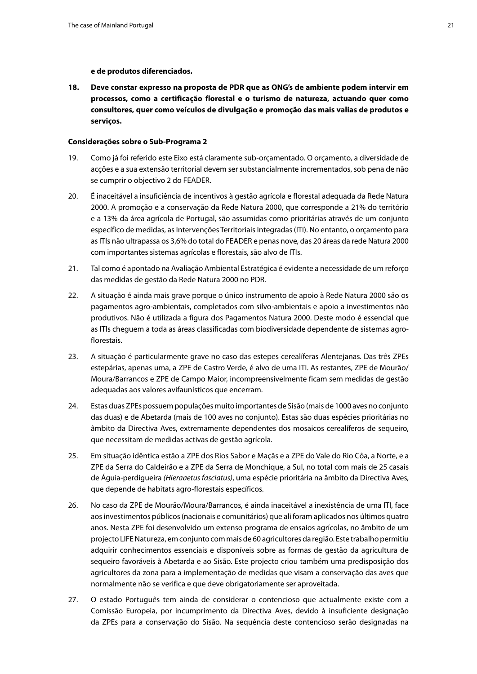**e de produtos diferenciados.**

**18. Deve constar expresso na proposta de PDR que as ONG's de ambiente podem intervir em processos, como a certificação florestal e o turismo de natureza, actuando quer como consultores, quer como veículos de divulgação e promoção das mais valias de produtos e serviços.**

#### **Considerações sobre o Sub-Programa 2**

- 19. Como já foi referido este Eixo está claramente sub-orçamentado. O orçamento, a diversidade de acções e a sua extensão territorial devem ser substancialmente incrementados, sob pena de não se cumprir o objectivo 2 do FEADER.
- 20. É inaceitável a insuficiência de incentivos à gestão agrícola e florestal adequada da Rede Natura 2000. A promoção e a conservação da Rede Natura 2000, que corresponde a 21% do território e a 13% da área agrícola de Portugal, são assumidas como prioritárias através de um conjunto específico de medidas, as Intervenções Territoriais Integradas (ITI). No entanto, o orçamento para as ITIs não ultrapassa os 3,6% do total do FEADER e penas nove, das 20 áreas da rede Natura 2000 com importantes sistemas agrícolas e florestais, são alvo de ITIs.
- 21. Tal como é apontado na Avaliação Ambiental Estratégica é evidente a necessidade de um reforço das medidas de gestão da Rede Natura 2000 no PDR.
- 22. A situação é ainda mais grave porque o único instrumento de apoio à Rede Natura 2000 são os pagamentos agro-ambientais, completados com silvo-ambientais e apoio a investimentos não produtivos. Não é utilizada a figura dos Pagamentos Natura 2000. Deste modo é essencial que as ITIs cheguem a toda as áreas classificadas com biodiversidade dependente de sistemas agroflorestais.
- 23. A situação é particularmente grave no caso das estepes cerealíferas Alentejanas. Das três ZPEs estepárias, apenas uma, a ZPE de Castro Verde, é alvo de uma ITI. As restantes, ZPE de Mourão/ Moura/Barrancos e ZPE de Campo Maior, incompreensivelmente ficam sem medidas de gestão adequadas aos valores avifaunísticos que encerram.
- 24. Estas duas ZPEs possuem populações muito importantes de Sisão (mais de 1000 aves no conjunto das duas) e de Abetarda (mais de 100 aves no conjunto). Estas são duas espécies prioritárias no âmbito da Directiva Aves, extremamente dependentes dos mosaicos cerealíferos de sequeiro, que necessitam de medidas activas de gestão agrícola.
- 25. Em situação idêntica estão a ZPE dos Rios Sabor e Maçãs e a ZPE do Vale do Rio Côa, a Norte, e a ZPE da Serra do Caldeirão e a ZPE da Serra de Monchique, a Sul, no total com mais de 25 casais de Águia-perdigueira *(Hieraaetus fasciatus)*, uma espécie prioritária na âmbito da Directiva Aves, que depende de habitats agro-florestais específicos.
- 26. No caso da ZPE de Mourão/Moura/Barrancos, é ainda inaceitável a inexistência de uma ITI, face aos investimentos públicos (nacionais e comunitários) que ali foram aplicados nos últimos quatro anos. Nesta ZPE foi desenvolvido um extenso programa de ensaios agrícolas, no âmbito de um projecto LIFE Natureza, em conjunto com mais de 60 agricultores da região. Este trabalho permitiu adquirir conhecimentos essenciais e disponíveis sobre as formas de gestão da agricultura de sequeiro favoráveis à Abetarda e ao Sisão. Este projecto criou também uma predisposição dos agricultores da zona para a implementação de medidas que visam a conservação das aves que normalmente não se verifica e que deve obrigatoriamente ser aproveitada.
- 27. O estado Português tem ainda de considerar o contencioso que actualmente existe com a Comissão Europeia, por incumprimento da Directiva Aves, devido à insuficiente designação da ZPEs para a conservação do Sisão. Na sequência deste contencioso serão designadas na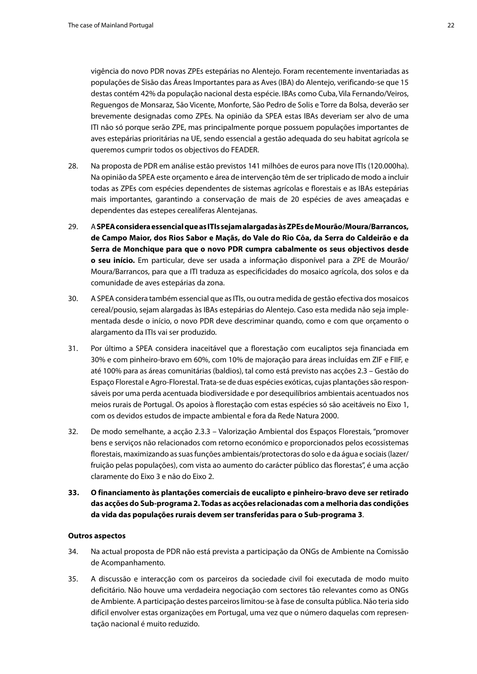vigência do novo PDR novas ZPEs estepárias no Alentejo. Foram recentemente inventariadas as populações de Sisão das Áreas Importantes para as Aves (IBA) do Alentejo, verificando-se que 15 destas contém 42% da população nacional desta espécie. IBAs como Cuba, Vila Fernando/Veiros, Reguengos de Monsaraz, São Vicente, Monforte, São Pedro de Solis e Torre da Bolsa, deverão ser brevemente designadas como ZPEs. Na opinião da SPEA estas IBAs deveriam ser alvo de uma ITI não só porque serão ZPE, mas principalmente porque possuem populações importantes de aves estepárias prioritárias na UE, sendo essencial a gestão adequada do seu habitat agrícola se queremos cumprir todos os objectivos do FEADER.

- 28. Na proposta de PDR em análise estão previstos 141 milhões de euros para nove ITIs (120.000ha). Na opinião da SPEA este orçamento e área de intervenção têm de ser triplicado de modo a incluir todas as ZPEs com espécies dependentes de sistemas agrícolas e florestais e as IBAs estepárias mais importantes, garantindo a conservação de mais de 20 espécies de aves ameaçadas e dependentes das estepes cerealíferas Alentejanas.
- 29. A **SPEA considera essencial que as ITIs sejam alargadas às ZPEs de Mourão/Moura/Barrancos, de Campo Maior, dos Rios Sabor e Maçãs, do Vale do Rio Côa, da Serra do Caldeirão e da Serra de Monchique para que o novo PDR cumpra cabalmente os seus objectivos desde o seu início.** Em particular, deve ser usada a informação disponível para a ZPE de Mourão/ Moura/Barrancos, para que a ITI traduza as especificidades do mosaico agrícola, dos solos e da comunidade de aves estepárias da zona.
- 30. A SPEA considera também essencial que as ITIs, ou outra medida de gestão efectiva dos mosaicos cereal/pousio, sejam alargadas às IBAs estepárias do Alentejo. Caso esta medida não seja implementada desde o início, o novo PDR deve descriminar quando, como e com que orçamento o alargamento da ITIs vai ser produzido.
- 31. Por último a SPEA considera inaceitável que a florestação com eucaliptos seja financiada em 30% e com pinheiro-bravo em 60%, com 10% de majoração para áreas incluídas em ZIF e FIIF, e até 100% para as áreas comunitárias (baldios), tal como está previsto nas acções 2.3 – Gestão do Espaço Florestal e Agro-Florestal. Trata-se de duas espécies exóticas, cujas plantações são responsáveis por uma perda acentuada biodiversidade e por desequilíbrios ambientais acentuados nos meios rurais de Portugal. Os apoios à florestação com estas espécies só são aceitáveis no Eixo 1, com os devidos estudos de impacte ambiental e fora da Rede Natura 2000.
- 32. De modo semelhante, a acção 2.3.3 Valorização Ambiental dos Espaços Florestais, "promover bens e serviços não relacionados com retorno económico e proporcionados pelos ecossistemas florestais, maximizando as suas funções ambientais/protectoras do solo e da água e sociais (lazer/ fruição pelas populações), com vista ao aumento do carácter público das florestas", é uma acção claramente do Eixo 3 e não do Eixo 2.
- **33. O financiamento às plantações comerciais de eucalipto e pinheiro-bravo deve ser retirado das acções do Sub-programa 2. Todas as acções relacionadas com a melhoria das condições da vida das populações rurais devem ser transferidas para o Sub-programa 3**.

#### **Outros aspectos**

- 34. Na actual proposta de PDR não está prevista a participação da ONGs de Ambiente na Comissão de Acompanhamento.
- 35. A discussão e interacção com os parceiros da sociedade civil foi executada de modo muito deficitário. Não houve uma verdadeira negociação com sectores tão relevantes como as ONGs de Ambiente. A participação destes parceiros limitou-se à fase de consulta pública. Não teria sido difícil envolver estas organizações em Portugal, uma vez que o número daquelas com representação nacional é muito reduzido.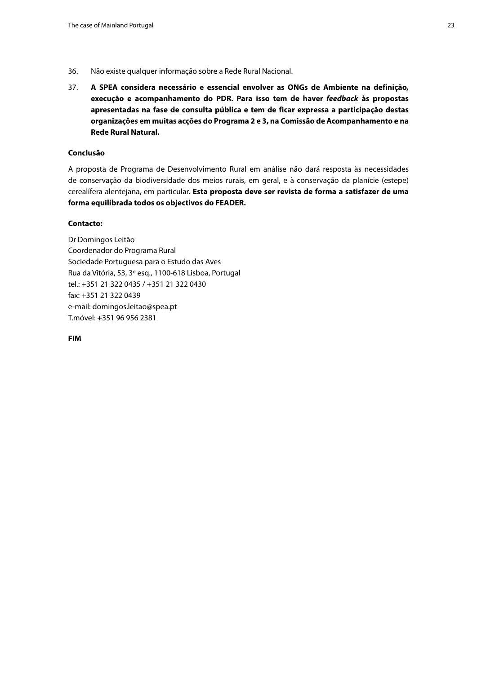- 36. Não existe qualquer informação sobre a Rede Rural Nacional.
- 37. **A SPEA considera necessário e essencial envolver as ONGs de Ambiente na definição, execução e acompanhamento do PDR. Para isso tem de haver** *feedback* **às propostas apresentadas na fase de consulta pública e tem de ficar expressa a participação destas organizações em muitas acções do Programa 2 e 3, na Comissão de Acompanhamento e na Rede Rural Natural.**

#### **Conclusão**

A proposta de Programa de Desenvolvimento Rural em análise não dará resposta às necessidades de conservação da biodiversidade dos meios rurais, em geral, e à conservação da planície (estepe) cerealífera alentejana, em particular. **Esta proposta deve ser revista de forma a satisfazer de uma forma equilibrada todos os objectivos do FEADER.**

#### **Contacto:**

Dr Domingos Leitão Coordenador do Programa Rural Sociedade Portuguesa para o Estudo das Aves Rua da Vitória, 53, 3º esq., 1100-618 Lisboa, Portugal tel.: +351 21 322 0435 / +351 21 322 0430 fax: +351 21 322 0439 e-mail: domingos.leitao@spea.pt T.móvel: +351 96 956 2381

**FIM**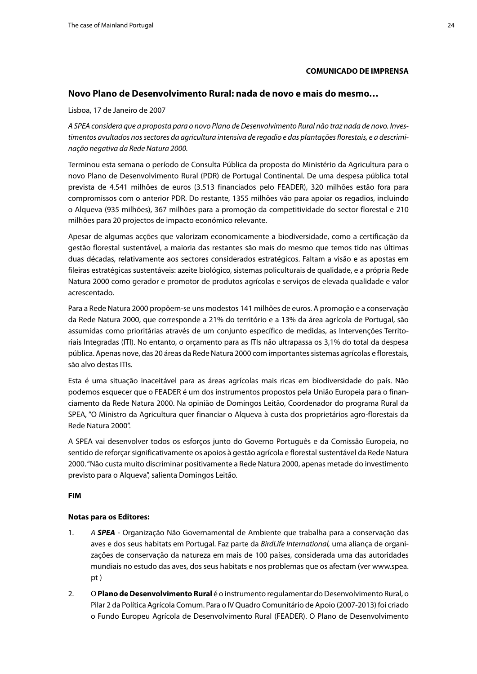#### **COMUNICADO DE IMPRENSA**

#### <span id="page-23-0"></span>**Novo Plano de Desenvolvimento Rural: nada de novo e mais do mesmo…**

Lisboa, 17 de Janeiro de 2007

*A SPEA considera que a proposta para o novo Plano de Desenvolvimento Rural não traz nada de novo. Investimentos avultados nos sectores da agricultura intensiva de regadio e das plantações florestais, e a descriminação negativa da Rede Natura 2000.* 

Terminou esta semana o período de Consulta Pública da proposta do Ministério da Agricultura para o novo Plano de Desenvolvimento Rural (PDR) de Portugal Continental. De uma despesa pública total prevista de 4.541 milhões de euros (3.513 financiados pelo FEADER), 320 milhões estão fora para compromissos com o anterior PDR. Do restante, 1355 milhões vão para apoiar os regadios, incluindo o Alqueva (935 milhões), 367 milhões para a promoção da competitividade do sector florestal e 210 milhões para 20 projectos de impacto económico relevante.

Apesar de algumas acções que valorizam economicamente a biodiversidade, como a certificação da gestão florestal sustentável, a maioria das restantes são mais do mesmo que temos tido nas últimas duas décadas, relativamente aos sectores considerados estratégicos. Faltam a visão e as apostas em fileiras estratégicas sustentáveis: azeite biológico, sistemas policulturais de qualidade, e a própria Rede Natura 2000 como gerador e promotor de produtos agrícolas e serviços de elevada qualidade e valor acrescentado.

Para a Rede Natura 2000 propõem-se uns modestos 141 milhões de euros. A promoção e a conservação da Rede Natura 2000, que corresponde a 21% do território e a 13% da área agrícola de Portugal, são assumidas como prioritárias através de um conjunto específico de medidas, as Intervenções Territoriais Integradas (ITI). No entanto, o orçamento para as ITIs não ultrapassa os 3,1% do total da despesa pública. Apenas nove, das 20 áreas da Rede Natura 2000 com importantes sistemas agrícolas e florestais, são alvo destas ITIs.

Esta é uma situação inaceitável para as áreas agrícolas mais ricas em biodiversidade do país. Não podemos esquecer que o FEADER é um dos instrumentos propostos pela União Europeia para o financiamento da Rede Natura 2000. Na opinião de Domingos Leitão, Coordenador do programa Rural da SPEA, "O Ministro da Agricultura quer financiar o Alqueva à custa dos proprietários agro-florestais da Rede Natura 2000".

A SPEA vai desenvolver todos os esforços junto do Governo Português e da Comissão Europeia, no sentido de reforçar significativamente os apoios à gestão agrícola e florestal sustentável da Rede Natura 2000. "Não custa muito discriminar positivamente a Rede Natura 2000, apenas metade do investimento previsto para o Alqueva", salienta Domingos Leitão.

#### **FIM**

#### **Notas para os Editores:**

- 1. *A SPEA* Organização Não Governamental de Ambiente que trabalha para a conservação das aves e dos seus habitats em Portugal. Faz parte da *BirdLife International,* uma aliança de organizações de conservação da natureza em mais de 100 países, considerada uma das autoridades mundiais no estudo das aves, dos seus habitats e nos problemas que os afectam (ver www.spea. pt )
- 2. O **Plano de Desenvolvimento Rural** é o instrumento regulamentar do Desenvolvimento Rural, o Pilar 2 da Política Agrícola Comum. Para o IV Quadro Comunitário de Apoio (2007-2013) foi criado o Fundo Europeu Agrícola de Desenvolvimento Rural (FEADER). O Plano de Desenvolvimento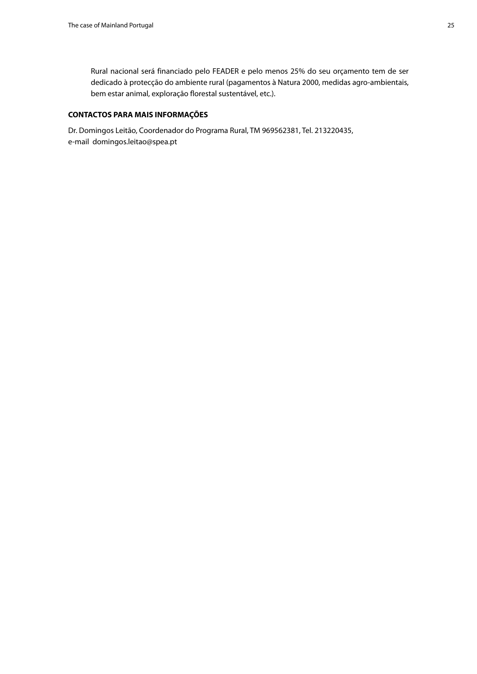Rural nacional será financiado pelo FEADER e pelo menos 25% do seu orçamento tem de ser dedicado à protecção do ambiente rural (pagamentos à Natura 2000, medidas agro-ambientais, bem estar animal, exploração florestal sustentável, etc.).

### **CONTACTOS PARA MAIS INFORMAÇÕES**

Dr. Domingos Leitão, Coordenador do Programa Rural, TM 969562381, Tel. 213220435, e-mail domingos.leitao@spea.pt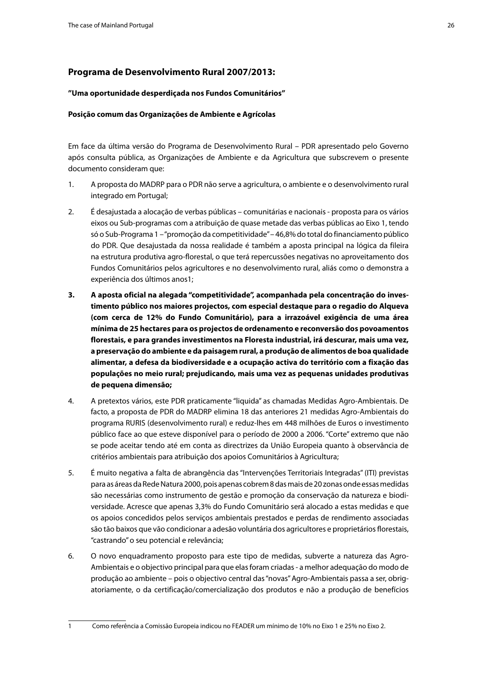### <span id="page-25-0"></span>**Programa de Desenvolvimento Rural 2007/2013:**

#### **"Uma oportunidade desperdiçada nos Fundos Comunitários"**

#### **Posição comum das Organizações de Ambiente e Agrícolas**

Em face da última versão do Programa de Desenvolvimento Rural – PDR apresentado pelo Governo após consulta pública, as Organizações de Ambiente e da Agricultura que subscrevem o presente documento consideram que:

- 1. A proposta do MADRP para o PDR não serve a agricultura, o ambiente e o desenvolvimento rural integrado em Portugal;
- 2. É desajustada a alocação de verbas públicas comunitárias e nacionais proposta para os vários eixos ou Sub-programas com a atribuição de quase metade das verbas públicas ao Eixo 1, tendo só o Sub-Programa 1 – "promoção da competitividade" – 46,8% do total do financiamento público do PDR. Que desajustada da nossa realidade é também a aposta principal na lógica da fileira na estrutura produtiva agro-florestal, o que terá repercussões negativas no aproveitamento dos Fundos Comunitários pelos agricultores e no desenvolvimento rural, aliás como o demonstra a experiência dos últimos anos1;
- **3. A aposta oficial na alegada "competitividade", acompanhada pela concentração do investimento público nos maiores projectos, com especial destaque para o regadio do Alqueva (com cerca de 12% do Fundo Comunitário), para a irrazoável exigência de uma área mínima de 25 hectares para os projectos de ordenamento e reconversão dos povoamentos florestais, e para grandes investimentos na Floresta industrial, irá descurar, mais uma vez, a preservação do ambiente e da paisagem rural, a produção de alimentos de boa qualidade alimentar, a defesa da biodiversidade e a ocupação activa do território com a fixação das populações no meio rural; prejudicando, mais uma vez as pequenas unidades produtivas de pequena dimensão;**
- 4. A pretextos vários, este PDR praticamente "liquida" as chamadas Medidas Agro-Ambientais. De facto, a proposta de PDR do MADRP elimina 18 das anteriores 21 medidas Agro-Ambientais do programa RURIS (desenvolvimento rural) e reduz-lhes em 448 milhões de Euros o investimento público face ao que esteve disponível para o período de 2000 a 2006. "Corte" extremo que não se pode aceitar tendo até em conta as directrizes da União Europeia quanto à observância de critérios ambientais para atribuição dos apoios Comunitários à Agricultura;
- 5. É muito negativa a falta de abrangência das "Intervenções Territoriais Integradas" (ITI) previstas para as áreas da Rede Natura 2000, pois apenas cobrem 8 das mais de 20 zonas onde essas medidas são necessárias como instrumento de gestão e promoção da conservação da natureza e biodiversidade. Acresce que apenas 3,3% do Fundo Comunitário será alocado a estas medidas e que os apoios concedidos pelos serviços ambientais prestados e perdas de rendimento associadas são tão baixos que vão condicionar a adesão voluntária dos agricultores e proprietários florestais, "castrando" o seu potencial e relevância;
- 6. O novo enquadramento proposto para este tipo de medidas, subverte a natureza das Agro-Ambientais e o objectivo principal para que elas foram criadas - a melhor adequação do modo de produção ao ambiente – pois o objectivo central das "novas" Agro-Ambientais passa a ser, obrigatoriamente, o da certificação/comercialização dos produtos e não a produção de benefícios

<sup>1</sup> Como referência a Comissão Europeia indicou no FEADER um mínimo de 10% no Eixo 1 e 25% no Eixo 2.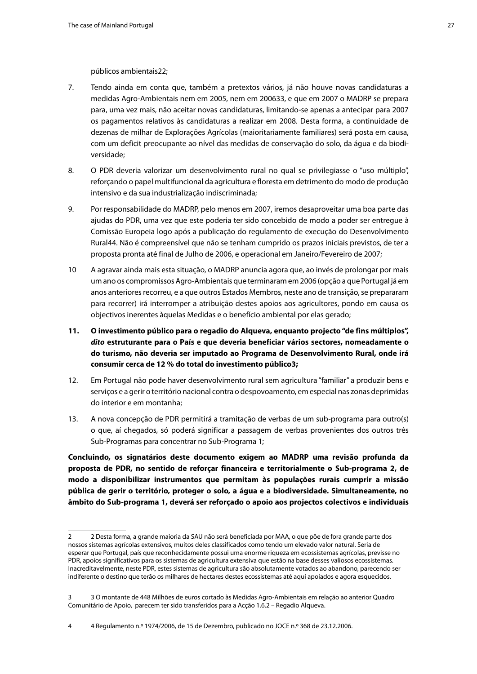públicos ambientais22;

- 7. Tendo ainda em conta que, também a pretextos vários, já não houve novas candidaturas a medidas Agro-Ambientais nem em 2005, nem em 200633, e que em 2007 o MADRP se prepara para, uma vez mais, não aceitar novas candidaturas, limitando-se apenas a antecipar para 2007 os pagamentos relativos às candidaturas a realizar em 2008. Desta forma, a continuidade de dezenas de milhar de Explorações Agrícolas (maioritariamente familiares) será posta em causa, com um deficit preocupante ao nível das medidas de conservação do solo, da água e da biodiversidade;
- 8. O PDR deveria valorizar um desenvolvimento rural no qual se privilegiasse o "uso múltiplo", reforçando o papel multifuncional da agricultura e floresta em detrimento do modo de produção intensivo e da sua industrialização indiscriminada;
- 9. Por responsabilidade do MADRP, pelo menos em 2007, iremos desaproveitar uma boa parte das ajudas do PDR, uma vez que este poderia ter sido concebido de modo a poder ser entregue à Comissão Europeia logo após a publicação do regulamento de execução do Desenvolvimento Rural44. Não é compreensível que não se tenham cumprido os prazos iniciais previstos, de ter a proposta pronta até final de Julho de 2006, e operacional em Janeiro/Fevereiro de 2007;
- 10 A agravar ainda mais esta situação, o MADRP anuncia agora que, ao invés de prolongar por mais um ano os compromissos Agro-Ambientais que terminaram em 2006 (opção a que Portugal já em anos anteriores recorreu, e a que outros Estados Membros, neste ano de transição, se prepararam para recorrer) irá interromper a atribuição destes apoios aos agricultores, pondo em causa os objectivos inerentes àquelas Medidas e o benefício ambiental por elas gerado;
- **11. O investimento público para o regadio do Alqueva, enquanto projecto "de fins múltiplos",**  *dito* **estruturante para o País e que deveria beneficiar vários sectores, nomeadamente o do turismo, não deveria ser imputado ao Programa de Desenvolvimento Rural, onde irá consumir cerca de 12 % do total do investimento público3;**
- 12. Em Portugal não pode haver desenvolvimento rural sem agricultura "familiar" a produzir bens e serviços e a gerir o território nacional contra o despovoamento, em especial nas zonas deprimidas do interior e em montanha;
- 13. A nova concepção de PDR permitirá a tramitação de verbas de um sub-programa para outro(s) o que, aí chegados, só poderá significar a passagem de verbas provenientes dos outros três Sub-Programas para concentrar no Sub-Programa 1;

**Concluindo, os signatários deste documento exigem ao MADRP uma revisão profunda da proposta de PDR, no sentido de reforçar financeira e territorialmente o Sub-programa 2, de modo a disponibilizar instrumentos que permitam às populações rurais cumprir a missão pública de gerir o território, proteger o solo, a água e a biodiversidade. Simultaneamente, no âmbito do Sub-programa 1, deverá ser reforçado o apoio aos projectos colectivos e individuais** 

<sup>2</sup> 2 Desta forma, a grande maioria da SAU não será beneficiada por MAA, o que põe de fora grande parte dos nossos sistemas agrícolas extensivos, muitos deles classificados como tendo um elevado valor natural. Seria de esperar que Portugal, país que reconhecidamente possui uma enorme riqueza em ecossistemas agrícolas, previsse no PDR, apoios significativos para os sistemas de agricultura extensiva que estão na base desses valiosos ecossistemas. Inacreditavelmente, neste PDR, estes sistemas de agricultura são absolutamente votados ao abandono, parecendo ser indiferente o destino que terão os milhares de hectares destes ecossistemas até aqui apoiados e agora esquecidos.

<sup>3</sup> 3 O montante de 448 Milhões de euros cortado às Medidas Agro-Ambientais em relação ao anterior Quadro Comunitário de Apoio, parecem ter sido transferidos para a Acção 1.6.2 – Regadio Alqueva.

<sup>4</sup> 4 Regulamento n.º 1974/2006, de 15 de Dezembro, publicado no JOCE n.º 368 de 23.12.2006.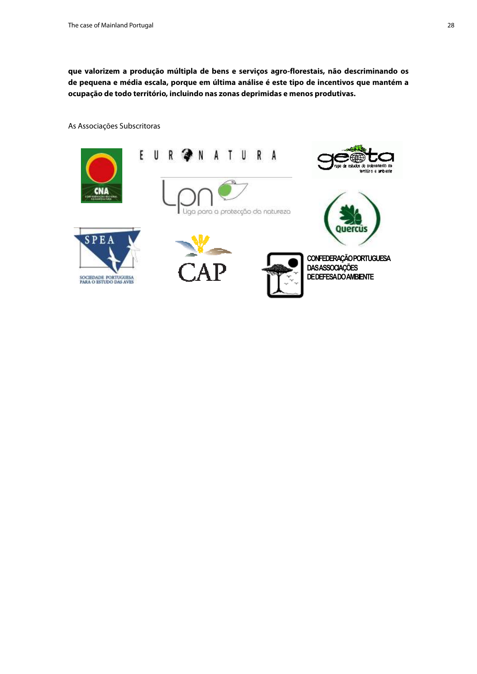**que valorizem a produção múltipla de bens e serviços agro-florestais, não descriminando os de pequena e média escala, porque em última análise é este tipo de incentivos que mantém a ocupação de todo território, incluindo nas zonas deprimidas e menos produtivas.**

#### As Associações Subscritoras

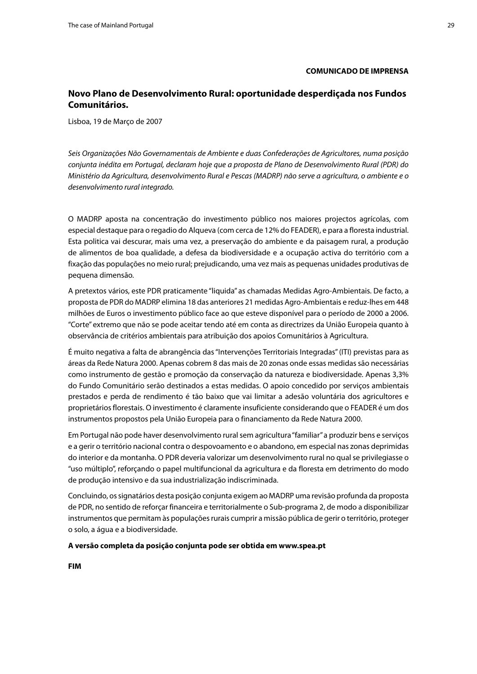**COMUNICADO DE IMPRENSA**

### <span id="page-28-0"></span>**Novo Plano de Desenvolvimento Rural: oportunidade desperdiçada nos Fundos Comunitários.**

Lisboa, 19 de Março de 2007

*Seis Organizações Não Governamentais de Ambiente e duas Confederações de Agricultores, numa posição conjunta inédita em Portugal, declaram hoje que a proposta de Plano de Desenvolvimento Rural (PDR) do Ministério da Agricultura, desenvolvimento Rural e Pescas (MADRP) não serve a agricultura, o ambiente e o desenvolvimento rural integrado.* 

O MADRP aposta na concentração do investimento público nos maiores projectos agrícolas, com especial destaque para o regadio do Alqueva (com cerca de 12% do FEADER), e para a floresta industrial. Esta politica vai descurar, mais uma vez, a preservação do ambiente e da paisagem rural, a produção de alimentos de boa qualidade, a defesa da biodiversidade e a ocupação activa do território com a fixação das populações no meio rural; prejudicando, uma vez mais as pequenas unidades produtivas de pequena dimensão.

A pretextos vários, este PDR praticamente "liquida" as chamadas Medidas Agro-Ambientais. De facto, a proposta de PDR do MADRP elimina 18 das anteriores 21 medidas Agro-Ambientais e reduz-lhes em 448 milhões de Euros o investimento público face ao que esteve disponível para o período de 2000 a 2006. "Corte" extremo que não se pode aceitar tendo até em conta as directrizes da União Europeia quanto à observância de critérios ambientais para atribuição dos apoios Comunitários à Agricultura.

É muito negativa a falta de abrangência das "Intervenções Territoriais Integradas" (ITI) previstas para as áreas da Rede Natura 2000. Apenas cobrem 8 das mais de 20 zonas onde essas medidas são necessárias como instrumento de gestão e promoção da conservação da natureza e biodiversidade. Apenas 3,3% do Fundo Comunitário serão destinados a estas medidas. O apoio concedido por serviços ambientais prestados e perda de rendimento é tão baixo que vai limitar a adesão voluntária dos agricultores e proprietários florestais. O investimento é claramente insuficiente considerando que o FEADER é um dos instrumentos propostos pela União Europeia para o financiamento da Rede Natura 2000.

Em Portugal não pode haver desenvolvimento rural sem agricultura "familiar" a produzir bens e serviços e a gerir o território nacional contra o despovoamento e o abandono, em especial nas zonas deprimidas do interior e da montanha. O PDR deveria valorizar um desenvolvimento rural no qual se privilegiasse o "uso múltiplo", reforçando o papel multifuncional da agricultura e da floresta em detrimento do modo de produção intensivo e da sua industrialização indiscriminada.

Concluindo, os signatários desta posição conjunta exigem ao MADRP uma revisão profunda da proposta de PDR, no sentido de reforçar financeira e territorialmente o Sub-programa 2, de modo a disponibilizar instrumentos que permitam às populações rurais cumprir a missão pública de gerir o território, proteger o solo, a água e a biodiversidade.

#### **A versão completa da posição conjunta pode ser obtida em www.spea.pt**

**FIM**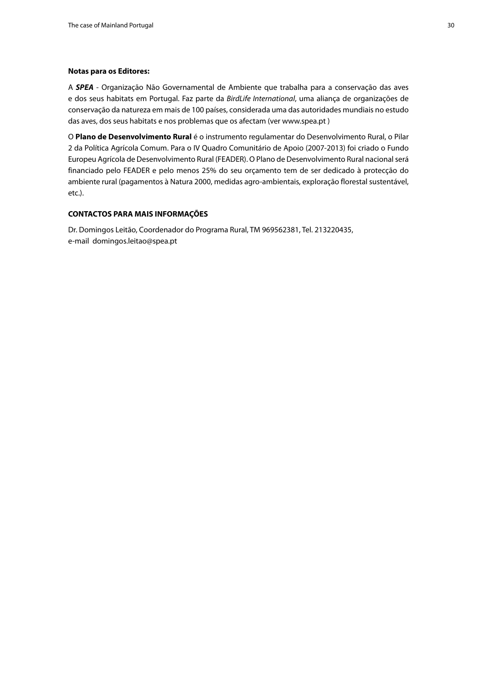#### **Notas para os Editores:**

A *SPEA* - Organização Não Governamental de Ambiente que trabalha para a conservação das aves e dos seus habitats em Portugal. Faz parte da *BirdLife International*, uma aliança de organizações de conservação da natureza em mais de 100 países, considerada uma das autoridades mundiais no estudo das aves, dos seus habitats e nos problemas que os afectam (ver www.spea.pt )

O **Plano de Desenvolvimento Rural** é o instrumento regulamentar do Desenvolvimento Rural, o Pilar 2 da Política Agrícola Comum. Para o IV Quadro Comunitário de Apoio (2007-2013) foi criado o Fundo Europeu Agrícola de Desenvolvimento Rural (FEADER). O Plano de Desenvolvimento Rural nacional será financiado pelo FEADER e pelo menos 25% do seu orçamento tem de ser dedicado à protecção do ambiente rural (pagamentos à Natura 2000, medidas agro-ambientais, exploração florestal sustentável, etc.).

#### **CONTACTOS PARA MAIS INFORMAÇÕES**

Dr. Domingos Leitão, Coordenador do Programa Rural, TM 969562381, Tel. 213220435, e-mail domingos.leitao@spea.pt